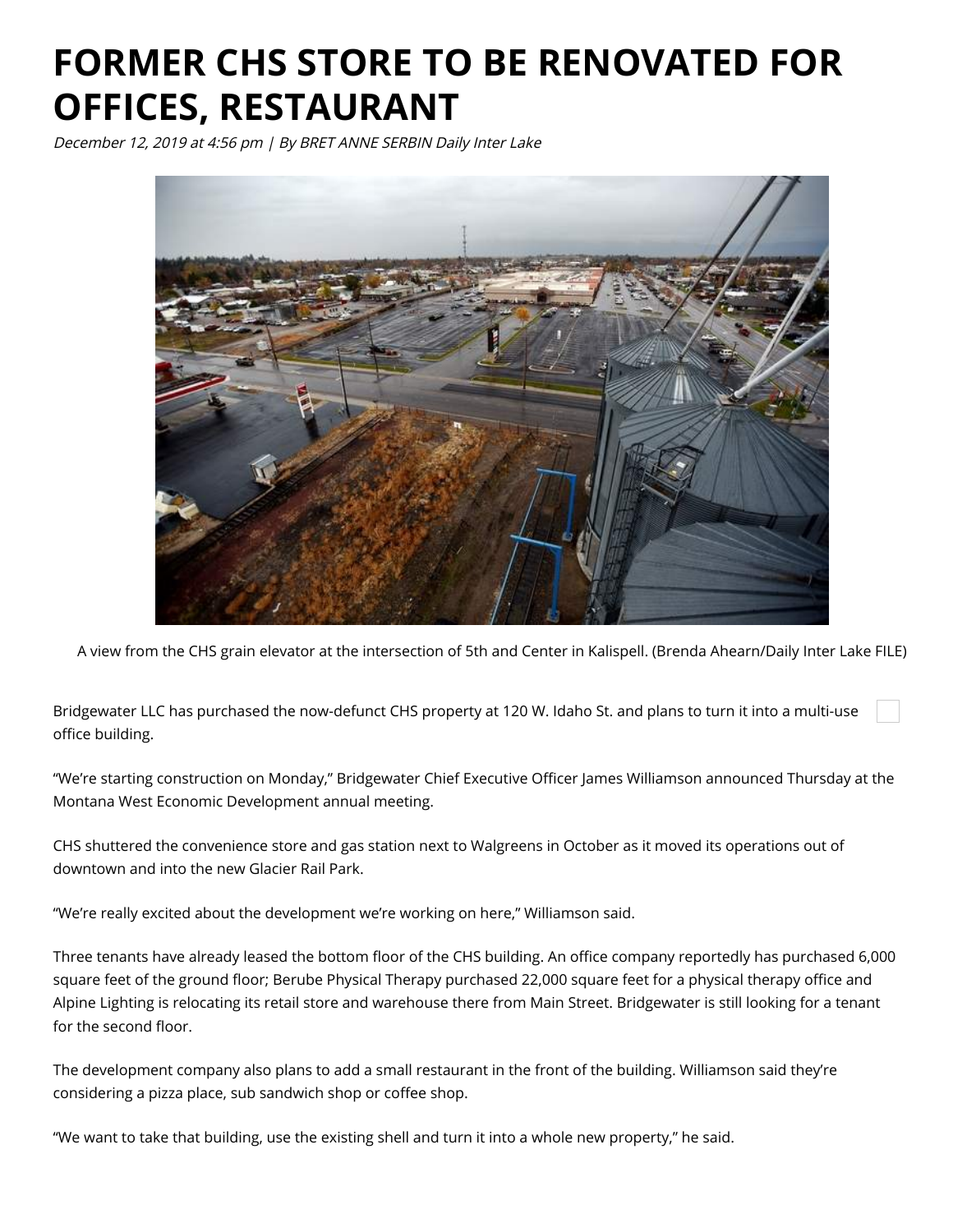## **FORMER CHS STORE TO BE RENOVATED FOR OFFICES, RESTAURANT**

December 12, 2019 at 4:56 pm | By BRET ANNE SERBIN Daily Inter Lake



A view from the CHS grain elevator at the intersection of 5th and Center in Kalispell. (Brenda Ahearn/Daily Inter Lake FILE)

Bridgewater LLC has purchased the now-defunct CHS property at 120 W. Idaho St. and plans to turn it into a multi-use office building.

"We're starting construction on Monday," Bridgewater Chief Executive Officer James Williamson announced Thursday at the Montana West Economic Development annual meeting.

CHS shuttered the convenience store and gas station next to Walgreens in October as it moved its operations out of downtown and into the new Glacier Rail Park.

"We're really excited about the development we're working on here," Williamson said.

Three tenants have already leased the bottom floor of the CHS building. An office company reportedly has purchased 6,000 square feet of the ground floor; Berube Physical Therapy purchased 22,000 square feet for a physical therapy office and Alpine Lighting is relocating its retail store and warehouse there from Main Street. Bridgewater is still looking for a tenant for the second floor.

The development company also plans to add a small restaurant in the front of the building. Williamson said they're considering a pizza place, sub sandwich shop or coffee shop.

"We want to take that building, use the existing shell and turn it into a whole new property," he said.